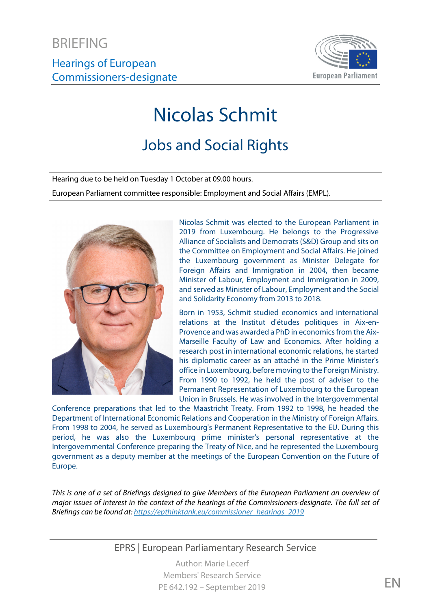

# Nicolas Schmit

## Jobs and Social Rights

Hearing due to be held on Tuesday 1 October at 09.00 hours. European Parliament committee responsible: Employment and Social Affairs (EMPL).



Nicolas Schmit was elected to the European Parliament in 2019 from Luxembourg. He belongs to the Progressive Alliance of Socialists and Democrats (S&D) Group and sits on the Committee on Employment and Social Affairs. He joined the Luxembourg government as Minister Delegate for Foreign Affairs and Immigration in 2004, then became Minister of Labour, Employment and Immigration in 2009, and served as Minister of Labour, Employment and the Social and Solidarity Economy from 2013 to 2018.

Born in 1953, Schmit studied economics and international relations at the Institut d'études politiques in Aix-en-Provence and was awarded a PhD in economics from the Aix-Marseille Faculty of Law and Economics. After holding a research post in international economic relations, he started his diplomatic career as an attaché in the Prime Minister's office in Luxembourg, before moving to the Foreign Ministry. From 1990 to 1992, he held the post of adviser to the Permanent Representation of Luxembourg to the European Union in Brussels. He was involved in the Intergovernmental

Conference preparations that led to the Maastricht Treaty. From 1992 to 1998, he headed the Department of International Economic Relations and Cooperation in the Ministry of Foreign Affairs. From 1998 to 2004, he served as Luxembourg's Permanent Representative to the EU. During this period, he was also the Luxembourg prime minister's personal representative at the Intergovernmental Conference preparing the Treaty of Nice, and he represented the Luxembourg government as a deputy member at the meetings of the European Convention on the Future of Europe.

*This is one of a set of Briefings designed to give Members of the European Parliament an overview of major issues of interest in the context of the hearings of the Commissioners-designate. The full set of Briefings can be found at[: https://epthinktank.eu/commissioner\\_hearings\\_2019](https://epthinktank.eu/commissioner_hearings_2019)*

EPRS | European Parliamentary Research Service

Author: Marie Lecerf Members' Research Service PE 642.192 – September 2019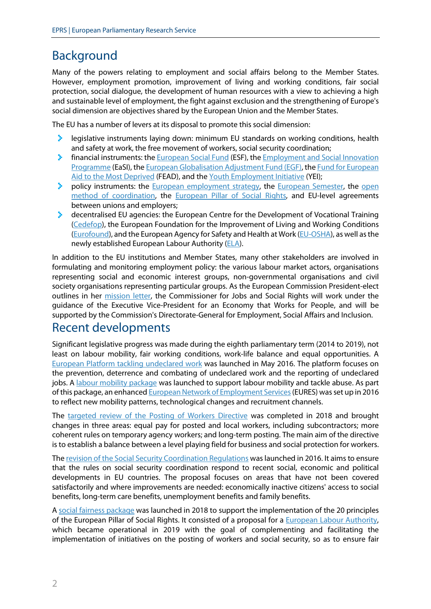## Background

Many of the powers relating to employment and social affairs belong to the Member States. However, employment promotion, improvement of living and working conditions, fair social protection, social dialogue, the development of human resources with a view to achieving a high and sustainable level of employment, the fight against exclusion and the strengthening of Europe's social dimension are objectives shared by the European Union and the Member States.

The EU has a number of levers at its disposal to promote this social dimension:

- У. legislative instruments laying down: minimum EU standards on working conditions, health and safety at work, the free movement of workers, social security coordination;
- ъ. financial instruments: th[e European Social Fund](http://ec.europa.eu/esf/) (ESF), the [Employment and Social Innovation](https://ec.europa.eu/social/main.jsp?catId=1081)  [Programme](https://ec.europa.eu/social/main.jsp?catId=1081) (EaSI), th[e European Globalisation Adjustment Fund](https://ec.europa.eu/social/main.jsp?catId=326) (EGF), th[e Fund for European](https://ec.europa.eu/social/main.jsp?catId=1089)  [Aid to the Most Deprived](https://ec.europa.eu/social/main.jsp?catId=1089) (FEAD), and the [Youth Employment Initiative](https://ec.europa.eu/social/main.jsp?catId=1176) (YEI);
- ×. policy instruments: the [European employment strategy,](https://ec.europa.eu/social/main.jsp?catId=101&langId=en) the [European Semester,](https://ec.europa.eu/info/business-economy-euro/economic-and-fiscal-policy-coordination/eu-economic-governance-monitoring-prevention-correction/european-semester/framework/european-semester-why-and-how_en) the [open](https://eur-lex.europa.eu/summary/glossary/open_method_coordination.html)  [method of coordination,](https://eur-lex.europa.eu/summary/glossary/open_method_coordination.html) the [European Pillar of Social Rights,](https://ec.europa.eu/commission/priorities/deeper-and-fairer-economic-and-monetary-union/european-pillar-social-rights_en) and EU-level agreements between unions and employers;
- decentralised EU agencies: the European Centre for the Development of Vocational Training э. [\(Cedefop\)](https://www.cedefop.europa.eu/), the European Foundation for the Improvement of Living and Working Conditions [\(Eurofound\)](https://www.eurofound.europa.eu/), and the European Agency for Safety and Health at Work [\(EU-OSHA\)](https://osha.europa.eu/en), as well as the newly established European Labour Authority [\(ELA\)](https://ec.europa.eu/social/main.jsp?catId=1414&langId=en).

In addition to the EU institutions and Member States, many other stakeholders are involved in formulating and monitoring employment policy: the various labour market actors, organisations representing social and economic interest groups, non-governmental organisations and civil society organisations representing particular groups. As the European Commission President-elect outlines in her [mission letter,](https://ec.europa.eu/commission/files/nicolas-schmits-mission-letter_en) the Commissioner for Jobs and Social Rights will work under the guidance of the Executive Vice-President for an Economy that Works for People, and will be supported by the Commission's Directorate-General for Employment, Social Affairs and Inclusion.

#### Recent developments

Significant legislative progress was made during the eighth parliamentary term (2014 to 2019), not least on labour mobility, fair working conditions, work-life balance and equal opportunities. A [European Platform tackling](https://ec.europa.eu/social/main.jsp?catId=1299&langId=en#navItem-1) undeclared work was launched in May 2016. The platform focuses on the prevention, deterrence and combating of undeclared work and the reporting of undeclared jobs. A labour [mobility package](https://www.europarl.europa.eu/legislative-train/theme-deeper-and-fairer-internal-market-with-a-strengthened-industrial-base-labour/package-labour-mobility-package) was launched to support labour mobility and tackle abuse. As part of this package, an enhanced European Network of Employment Services (EURES) was set up in 2016 to reflect new mobility patterns, technological changes and recruitment channels.

The [targeted review of the Posting of Workers Directive](https://eur-lex.europa.eu/legal-content/EN/TXT/?uri=OJ:L:2018:173:TOC) was completed in 2018 and brought changes in three areas: equal pay for posted and local workers, including subcontractors; more coherent rules on temporary agency workers; and long-term posting. The main aim of the directive is to establish a balance between a level playing field for business and social protection for workers.

Th[e revision of the Social Security Coordination Regulations](https://eur-lex.europa.eu/legal-content/EN/TXT/?uri=CELEX%3A52016PC0815) was launched in 2016. It aims to ensure that the rules on social security coordination respond to recent social, economic and political developments in EU countries. The proposal focuses on areas that have not been covered satisfactorily and where improvements are needed: economically inactive citizens' access to social benefits, long-term care benefits, unemployment benefits and family benefits.

A [social fairness package](http://europa.eu/rapid/press-release_IP-18-1624_en.htm) was launched in 2018 to support the implementation of the 20 principles of the European Pillar of Social Rights. It consisted of a proposal for a [European Labour Authority,](https://eur-lex.europa.eu/legal-content/EN/TXT/?uri=COM:2018:0131:FIN) which became operational in 2019 with the goal of complementing and facilitating the implementation of initiatives on the posting of workers and social security, so as to ensure fair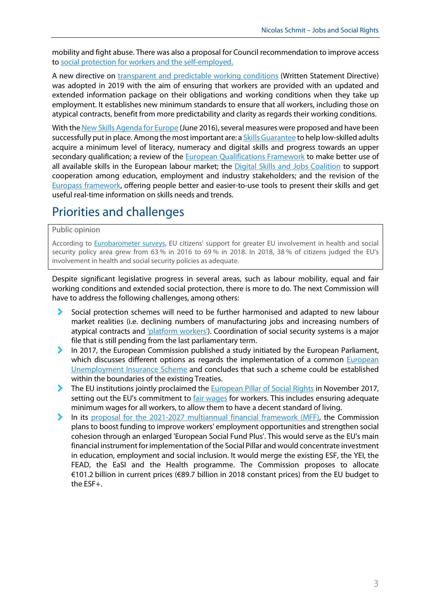mobility and fight abuse. There was also a proposal for Council recommendation to improve access to social protection for [workers and the self-employed.](https://eur-lex.europa.eu/legal-content/EN/TXT/?uri=COM:2018:0132:FIN)

A new directive on [transparent and predictable working conditions](https://eur-lex.europa.eu/legal-content/EN/TXT/?uri=CELEX:32019L1152) (Written Statement Directive) was adopted in 2019 with the aim of ensuring that workers are provided with an updated and extended information package on their obligations and working conditions when they take up employment. It establishes new minimum standards to ensure that all workers, including those on atypical contracts, benefit from more predictability and clarity as regards their working conditions.

With the [New Skills Agenda for Europe](https://ec.europa.eu/social/main.jsp?catId=1223) (June 2016), several measures were proposed and have been successfully put in place. Among the most important are: a *Skills Guarantee* to help low-skilled adults acquire a minimum level of literacy, numeracy and digital skills and progress towards an upper secondary qualification; a review of the [European Qualifications Framework](https://eur-lex.europa.eu/legal-content/EN/TXT/?uri=celex:32017H0615(01)) to make better use of all available skills in the European labour market; the [Digital Skills and Jobs Coalition](https://ec.europa.eu/digital-single-market/en/digital-skills-jobs-coalition) to support cooperation among education, employment and industry stakeholders; and the revision of the [Europass framework,](https://eur-lex.europa.eu/legal-content/EN/TXT/?uri=celex:32018D0646) offering people better and easier-to-use tools to present their skills and get useful real-time information on skills needs and trends.

### Priorities and challenges

#### Public opinion

According to [Eurobarometer surveys,](http://www.europarl.europa.eu/at-your-service/files/be-heard/eurobarometer/2018/delivering_on_europe_citizens_views_on_current_and_future_eu_action/report.pdf) EU citizens' support for greater EU involvement in health and social security policy area grew from 63 % in 2016 to 69 % in 2018. In 2018, 38 % of citizens judged the EU's involvement in health and social security policies as adequate.

Despite significant legislative progress in several areas, such as labour mobility, equal and fair working conditions and extended social protection, there is more to do. The next Commission will have to address the following challenges, among others:

- X Social protection schemes will need to be further harmonised and adapted to new labour market realities (i.e. declining numbers of manufacturing jobs and increasing numbers of atypical contracts and ['platform workers'\)](https://www.eurofound.europa.eu/observatories/eurwork/industrial-relations-dictionary/platform-work). Coordination of social security systems is a major file that is still pending from the last parliamentary term.
- ×. In 2017, the European Commission published a study initiated by the European Parliament, which discusses different options as regards the implementation of a common European [Unemployment Insurance Scheme](https://www.ceps.eu/ceps-publications/feasibility-and-added-value-european-unemployment-benefits-scheme/) and concludes that such a scheme could be established within the boundaries of the existing Treaties.
- The EU institutions jointly proclaimed the [European Pillar of Social Rights](https://cor.europa.eu/en/engage/studies/Documents/European%20Regional%20Social%20Scoreboard/European-Regional-Social-Scoreboard.pdf) in November 2017, setting out the EU's commitment to [fair wages](https://webapi2016.cor.europa.eu/v1/documents/cor-2015-01689-00-00-ac-tra-en.docx/content) for workers. This includes ensuring adequate minimum wages for all workers, to allow them to have a decent standard of living.
- У. In its [proposal for the 2021-2027 multiannual financial framework](https://eur-lex.europa.eu/legal-content/EN/TXT/?uri=COM%3A2018%3A321%3AFIN) (MFF), the Commission plans to boost funding to improve workers' employment opportunities and strengthen social cohesion through an enlarged 'European Social Fund Plus'. This would serve as the EU's main financial instrument for implementation of the Social Pillar and would concentrate investment in education, employment and social inclusion. It would merge the existing ESF, the [YEI,](https://ec.europa.eu/social/main.jsp?catId=1176) the [FEAD,](https://ec.europa.eu/social/main.jsp?catId=1089) the EaSI and the Health programme. The Commission proposes to allocate €101.2 billion in current prices (€89.7 billion in 2018 constant prices) from the EU budget to the ESF+.